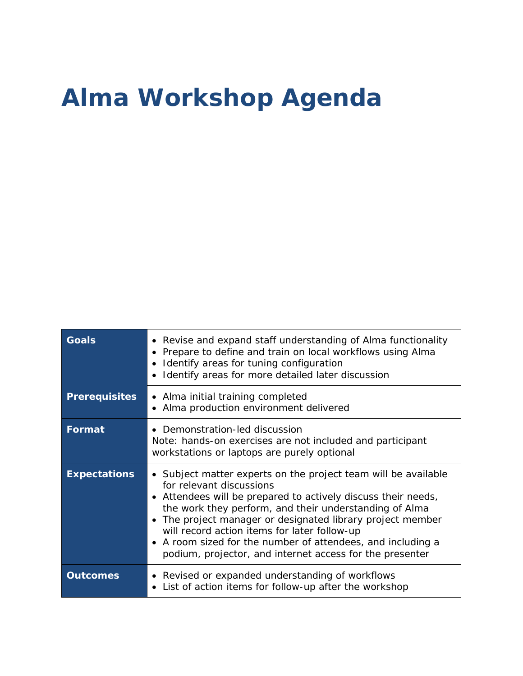## **Alma Workshop Agenda**

| <b>Goals</b>         | • Revise and expand staff understanding of Alma functionality<br>• Prepare to define and train on local workflows using Alma<br>• Identify areas for tuning configuration<br>Identify areas for more detailed later discussion                                                                                                                                                                                                                               |
|----------------------|--------------------------------------------------------------------------------------------------------------------------------------------------------------------------------------------------------------------------------------------------------------------------------------------------------------------------------------------------------------------------------------------------------------------------------------------------------------|
| <b>Prerequisites</b> | • Alma initial training completed<br>• Alma production environment delivered                                                                                                                                                                                                                                                                                                                                                                                 |
| Format               | • Demonstration-led discussion<br>Note: hands-on exercises are not included and participant<br>workstations or laptops are purely optional                                                                                                                                                                                                                                                                                                                   |
| <b>Expectations</b>  | • Subject matter experts on the project team will be available<br>for relevant discussions<br>• Attendees will be prepared to actively discuss their needs,<br>the work they perform, and their understanding of Alma<br>The project manager or designated library project member<br>will record action items for later follow-up<br>• A room sized for the number of attendees, and including a<br>podium, projector, and internet access for the presenter |
| <b>Outcomes</b>      | • Revised or expanded understanding of workflows<br>List of action items for follow-up after the workshop                                                                                                                                                                                                                                                                                                                                                    |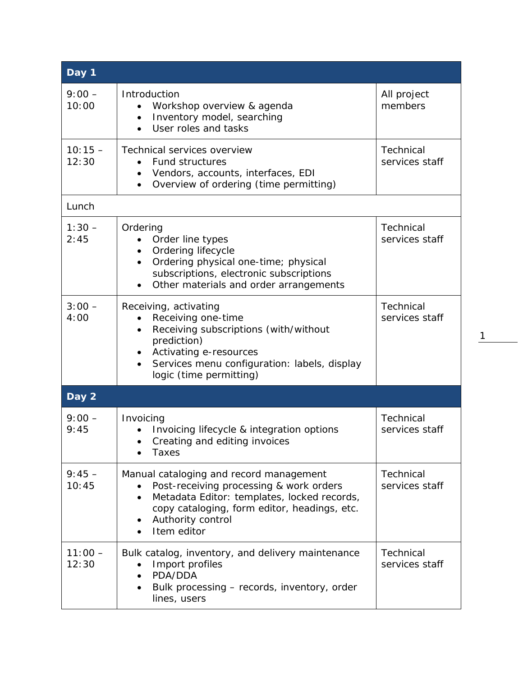| Day 1              |                                                                                                                                                                                                                                                              |                                    |  |  |
|--------------------|--------------------------------------------------------------------------------------------------------------------------------------------------------------------------------------------------------------------------------------------------------------|------------------------------------|--|--|
| $9:00 -$<br>10:00  | Introduction<br>Workshop overview & agenda<br>$\bullet$<br>Inventory model, searching<br>$\bullet$<br>User roles and tasks                                                                                                                                   | All project<br>members             |  |  |
| $10:15 -$<br>12:30 | Technical services overview<br>Fund structures<br>Vendors, accounts, interfaces, EDI<br>$\bullet$<br>Overview of ordering (time permitting)<br>$\bullet$                                                                                                     | <b>Technical</b><br>services staff |  |  |
| Lunch              |                                                                                                                                                                                                                                                              |                                    |  |  |
| $1:30 -$<br>2:45   | Ordering<br>Order line types<br>Ordering lifecycle<br>$\bullet$<br>Ordering physical one-time; physical<br>$\bullet$<br>subscriptions, electronic subscriptions<br>Other materials and order arrangements<br>$\bullet$                                       | <b>Technical</b><br>services staff |  |  |
| $3:00 -$<br>4:00   | Receiving, activating<br>Receiving one-time<br>$\bullet$<br>Receiving subscriptions (with/without<br>$\bullet$<br>prediction)<br>Activating e-resources<br>$\bullet$<br>Services menu configuration: labels, display<br>$\bullet$<br>logic (time permitting) | Technical<br>services staff        |  |  |
| Day 2              |                                                                                                                                                                                                                                                              |                                    |  |  |
| $9:00 -$<br>9:45   | Invoicing<br>Invoicing lifecycle & integration options<br>Creating and editing invoices<br>$\bullet$<br><b>Taxes</b>                                                                                                                                         | Technical<br>services staff        |  |  |
| $9:45 -$<br>10:45  | Manual cataloging and record management<br>Post-receiving processing & work orders<br>Metadata Editor: templates, locked records,<br>$\bullet$<br>copy cataloging, form editor, headings, etc.<br>Authority control<br>Item editor                           | Technical<br>services staff        |  |  |
| $11:00 -$<br>12:30 | Bulk catalog, inventory, and delivery maintenance<br>Import profiles<br>PDA/DDA<br>Bulk processing – records, inventory, order<br>lines, users                                                                                                               | <b>Technical</b><br>services staff |  |  |

1